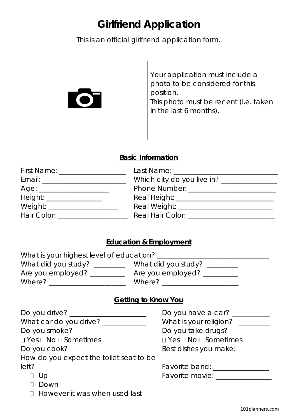# **Girlfriend Application**

This is an official girlfriend application form.



#### **Basic Information**

| First Name: ___________________ |                                                                                                                |
|---------------------------------|----------------------------------------------------------------------------------------------------------------|
|                                 | Which city do you live in? ________________                                                                    |
|                                 |                                                                                                                |
| Height: __________________      |                                                                                                                |
| Weight: _______________________ |                                                                                                                |
| Hair Color: __________________  | Real Hair Color: Network and the state of the state of the state of the state of the state of the state of the |

#### **Education & Employment**

| What is your highest level of education? |                          |
|------------------------------------------|--------------------------|
| What did you study?                      | What did you study? ____ |
| Are you employed?                        | Are you employed? ______ |
| Where?                                   | Where?                   |

### **Getting to Know You**

| Do you drive? _____                     | Do you have a car?                    |
|-----------------------------------------|---------------------------------------|
| What car do you drive? __               | What is your religion?                |
| Do you smoke?                           | Do you take drugs?                    |
| $\Box$ Yes $\Box$ No $\Box$ Sometimes   | $\Box$ Yes $\Box$ No $\Box$ Sometimes |
| Do you cook?                            | Best dishes you make:                 |
| How do you expect the toilet seat to be |                                       |
| left?                                   | Favorite band: ____                   |
| □ Up                                    | Favorite movie: ____                  |
| Down                                    |                                       |
| $\Box$ However it was when used last    |                                       |